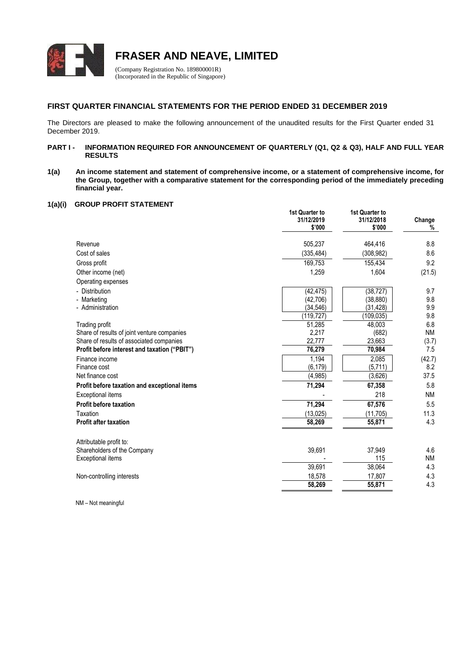

**FRASER AND NEAVE, LIMITED**

(Company Registration No. 189800001R) (Incorporated in the Republic of Singapore)

# **FIRST QUARTER FINANCIAL STATEMENTS FOR THE PERIOD ENDED 31 DECEMBER 2019**

The Directors are pleased to make the following announcement of the unaudited results for the First Quarter ended 31 December 2019.

### **PART I - INFORMATION REQUIRED FOR ANNOUNCEMENT OF QUARTERLY (Q1, Q2 & Q3), HALF AND FULL YEAR RESULTS**

**1(a) An income statement and statement of comprehensive income, or a statement of comprehensive income, for the Group, together with a comparative statement for the corresponding period of the immediately preceding financial year.**

## **1(a)(i) GROUP PROFIT STATEMENT**

|                                              | 1st Quarter to<br>31/12/2019<br>\$'000 | 1st Quarter to<br>31/12/2018<br>\$'000 | Change<br>% |
|----------------------------------------------|----------------------------------------|----------------------------------------|-------------|
| Revenue                                      | 505,237                                | 464,416                                | 8.8         |
| Cost of sales                                | (335, 484)                             | (308, 982)                             | 8.6         |
| Gross profit                                 | 169,753                                | 155,434                                | 9.2         |
| Other income (net)                           | 1,259                                  | 1,604                                  | (21.5)      |
| Operating expenses                           |                                        |                                        |             |
| - Distribution                               | (42, 475)                              | (38, 727)                              | 9.7         |
| - Marketing                                  | (42, 706)                              | (38, 880)                              | 9.8         |
| - Administration                             | (34, 546)                              | (31, 428)                              | 9.9         |
|                                              | (119.727)                              | (109,035)                              | 9.8         |
| Trading profit                               | 51,285                                 | 48.003                                 | 6.8         |
| Share of results of joint venture companies  | 2,217                                  | (682)                                  | <b>NM</b>   |
| Share of results of associated companies     | 22,777                                 | 23,663                                 | (3.7)       |
| Profit before interest and taxation ("PBIT") | 76,279                                 | 70,984                                 | 7.5         |
| Finance income                               | 1,194                                  | 2,085                                  | (42.7)      |
| Finance cost                                 | (6, 179)                               | (5,711)                                | 8.2         |
| Net finance cost                             | (4,985)                                | (3,626)                                | 37.5        |
| Profit before taxation and exceptional items | 71,294                                 | 67,358                                 | 5.8         |
| <b>Exceptional items</b>                     |                                        | 218                                    | <b>NM</b>   |
| <b>Profit before taxation</b>                | 71,294                                 | 67,576                                 | 5.5         |
| Taxation                                     | (13, 025)                              | (11, 705)                              | 11.3        |
| <b>Profit after taxation</b>                 | 58,269                                 | 55,871                                 | 4.3         |
| Attributable profit to:                      |                                        |                                        |             |
| Shareholders of the Company                  | 39,691                                 | 37,949                                 | 4.6         |
| <b>Exceptional items</b>                     |                                        | 115                                    | <b>NM</b>   |
|                                              | 39,691                                 | 38,064                                 | 4.3         |
| Non-controlling interests                    | 18,578                                 | 17,807                                 | 4.3         |
|                                              | 58,269                                 | 55,871                                 | 4.3         |
|                                              |                                        |                                        |             |

NM – Not meaningful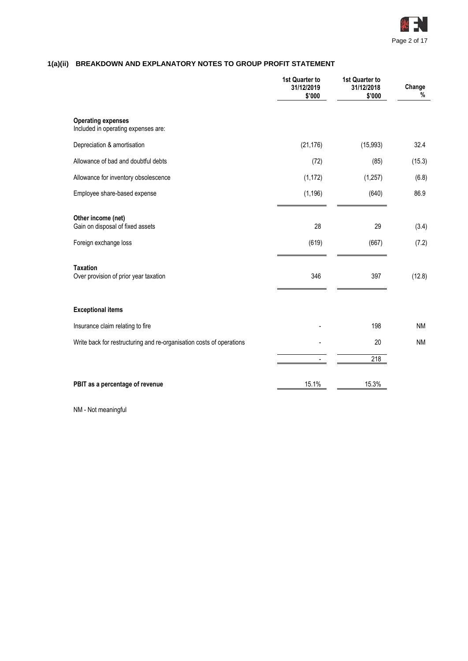

# **1(a)(ii) BREAKDOWN AND EXPLANATORY NOTES TO GROUP PROFIT STATEMENT**

|                                                                      | 1st Quarter to<br>31/12/2019<br>\$'000 | 1st Quarter to<br>31/12/2018<br>\$'000 | Change<br>% |
|----------------------------------------------------------------------|----------------------------------------|----------------------------------------|-------------|
| <b>Operating expenses</b><br>Included in operating expenses are:     |                                        |                                        |             |
| Depreciation & amortisation                                          | (21, 176)                              | (15, 993)                              | 32.4        |
| Allowance of bad and doubtful debts                                  | (72)                                   | (85)                                   | (15.3)      |
| Allowance for inventory obsolescence                                 | (1, 172)                               | (1, 257)                               | (6.8)       |
| Employee share-based expense                                         | (1, 196)                               | (640)                                  | 86.9        |
| Other income (net)<br>Gain on disposal of fixed assets               | 28                                     | 29                                     | (3.4)       |
| Foreign exchange loss                                                | (619)                                  | (667)                                  | (7.2)       |
| <b>Taxation</b><br>Over provision of prior year taxation             | 346                                    | 397                                    | (12.8)      |
| <b>Exceptional items</b>                                             |                                        |                                        |             |
| Insurance claim relating to fire                                     |                                        | 198                                    | <b>NM</b>   |
| Write back for restructuring and re-organisation costs of operations |                                        | 20                                     | <b>NM</b>   |
|                                                                      |                                        | 218                                    |             |
| PBIT as a percentage of revenue                                      | 15.1%                                  | 15.3%                                  |             |

NM - Not meaningful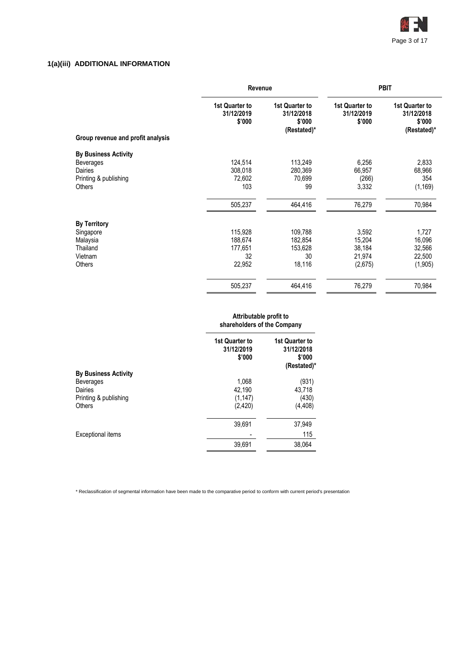

# **1(a)(iii) ADDITIONAL INFORMATION**

|                                   | Revenue                                |                                                       | <b>PBIT</b>                            |                                                       |  |
|-----------------------------------|----------------------------------------|-------------------------------------------------------|----------------------------------------|-------------------------------------------------------|--|
| Group revenue and profit analysis | 1st Quarter to<br>31/12/2019<br>\$'000 | 1st Quarter to<br>31/12/2018<br>\$'000<br>(Restated)* | 1st Quarter to<br>31/12/2019<br>\$'000 | 1st Quarter to<br>31/12/2018<br>\$'000<br>(Restated)* |  |
| <b>By Business Activity</b>       |                                        |                                                       |                                        |                                                       |  |
| <b>Beverages</b>                  | 124,514                                | 113,249                                               | 6,256                                  | 2,833                                                 |  |
| Dairies                           | 308,018                                | 280,369                                               | 66,957                                 | 68,966                                                |  |
| Printing & publishing             | 72,602                                 | 70,699                                                | (266)                                  | 354                                                   |  |
| <b>Others</b>                     | 103                                    | 99                                                    | 3,332                                  | (1, 169)                                              |  |
|                                   | 505,237                                | 464,416                                               | 76,279                                 | 70,984                                                |  |
| <b>By Territory</b>               |                                        |                                                       |                                        |                                                       |  |
| Singapore                         | 115,928                                | 109,788                                               | 3,592                                  | 1,727                                                 |  |
| Malaysia                          | 188,674                                | 182,854                                               | 15,204                                 | 16,096                                                |  |
| Thailand                          | 177,651                                | 153,628                                               | 38,184                                 | 32,566                                                |  |
| Vietnam                           | 32                                     | 30                                                    | 21,974                                 | 22,500                                                |  |
| <b>Others</b>                     | 22,952                                 | 18,116                                                | (2,675)                                | (1,905)                                               |  |
|                                   | 505,237                                | 464,416                                               | 76,279                                 | 70,984                                                |  |

#### **Attributable profit to shareholders of the Company**

|                             | <b>1st Quarter to</b><br>31/12/2019<br>\$'000 | <b>1st Quarter to</b><br>31/12/2018<br>\$'000<br>(Restated)* |
|-----------------------------|-----------------------------------------------|--------------------------------------------------------------|
| <b>By Business Activity</b> |                                               |                                                              |
| <b>Beverages</b>            | 1,068                                         | (931)                                                        |
| Dairies                     | 42,190                                        | 43,718                                                       |
| Printing & publishing       | (1, 147)                                      | (430)                                                        |
| <b>Others</b>               | (2, 420)                                      | (4, 408)                                                     |
|                             | 39,691                                        | 37,949                                                       |
| Exceptional items           |                                               | 115                                                          |
|                             | 39,691                                        | 38,064                                                       |
|                             |                                               |                                                              |

\* Reclassification of segmental information have been made to the comparative period to conform with current period's presentation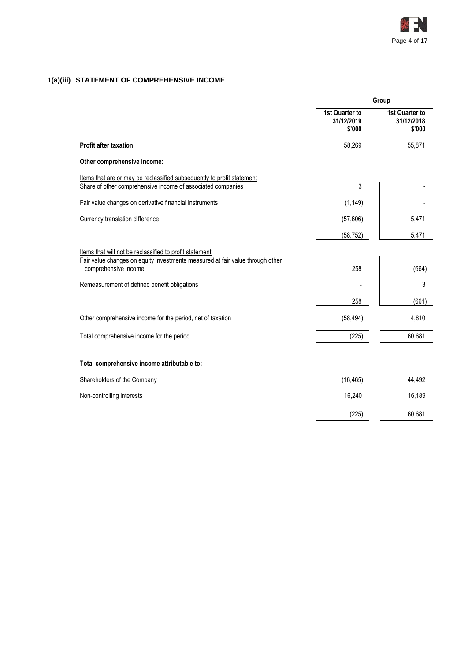

# **1(a)(iii) STATEMENT OF COMPREHENSIVE INCOME**

| 1st Quarter to<br><b>1st Quarter to</b><br>31/12/2019<br>31/12/2018<br>\$'000<br>\$'000<br><b>Profit after taxation</b><br>58,269<br>55,871<br>Other comprehensive income:<br>Items that are or may be reclassified subsequently to profit statement<br>3<br>Share of other comprehensive income of associated companies<br>Fair value changes on derivative financial instruments<br>(1, 149)<br>(57,606)<br>Currency translation difference<br>5,471<br>(58, 752)<br>5,471<br>Items that will not be reclassified to profit statement<br>Fair value changes on equity investments measured at fair value through other<br>comprehensive income<br>258<br>(664)<br>3<br>Remeasurement of defined benefit obligations<br>258<br>(661)<br>(58, 494)<br>4,810<br>Other comprehensive income for the period, net of taxation<br>Total comprehensive income for the period<br>(225)<br>60,681<br>Total comprehensive income attributable to:<br>Shareholders of the Company<br>(16, 465)<br>44,492<br>16,240<br>16,189<br>Non-controlling interests<br>60,681<br>(225) | Group |  |  |
|--------------------------------------------------------------------------------------------------------------------------------------------------------------------------------------------------------------------------------------------------------------------------------------------------------------------------------------------------------------------------------------------------------------------------------------------------------------------------------------------------------------------------------------------------------------------------------------------------------------------------------------------------------------------------------------------------------------------------------------------------------------------------------------------------------------------------------------------------------------------------------------------------------------------------------------------------------------------------------------------------------------------------------------------------------------------|-------|--|--|
|                                                                                                                                                                                                                                                                                                                                                                                                                                                                                                                                                                                                                                                                                                                                                                                                                                                                                                                                                                                                                                                                    |       |  |  |
|                                                                                                                                                                                                                                                                                                                                                                                                                                                                                                                                                                                                                                                                                                                                                                                                                                                                                                                                                                                                                                                                    |       |  |  |
|                                                                                                                                                                                                                                                                                                                                                                                                                                                                                                                                                                                                                                                                                                                                                                                                                                                                                                                                                                                                                                                                    |       |  |  |
|                                                                                                                                                                                                                                                                                                                                                                                                                                                                                                                                                                                                                                                                                                                                                                                                                                                                                                                                                                                                                                                                    |       |  |  |
|                                                                                                                                                                                                                                                                                                                                                                                                                                                                                                                                                                                                                                                                                                                                                                                                                                                                                                                                                                                                                                                                    |       |  |  |
|                                                                                                                                                                                                                                                                                                                                                                                                                                                                                                                                                                                                                                                                                                                                                                                                                                                                                                                                                                                                                                                                    |       |  |  |
|                                                                                                                                                                                                                                                                                                                                                                                                                                                                                                                                                                                                                                                                                                                                                                                                                                                                                                                                                                                                                                                                    |       |  |  |
|                                                                                                                                                                                                                                                                                                                                                                                                                                                                                                                                                                                                                                                                                                                                                                                                                                                                                                                                                                                                                                                                    |       |  |  |
|                                                                                                                                                                                                                                                                                                                                                                                                                                                                                                                                                                                                                                                                                                                                                                                                                                                                                                                                                                                                                                                                    |       |  |  |
|                                                                                                                                                                                                                                                                                                                                                                                                                                                                                                                                                                                                                                                                                                                                                                                                                                                                                                                                                                                                                                                                    |       |  |  |
|                                                                                                                                                                                                                                                                                                                                                                                                                                                                                                                                                                                                                                                                                                                                                                                                                                                                                                                                                                                                                                                                    |       |  |  |
|                                                                                                                                                                                                                                                                                                                                                                                                                                                                                                                                                                                                                                                                                                                                                                                                                                                                                                                                                                                                                                                                    |       |  |  |
|                                                                                                                                                                                                                                                                                                                                                                                                                                                                                                                                                                                                                                                                                                                                                                                                                                                                                                                                                                                                                                                                    |       |  |  |
|                                                                                                                                                                                                                                                                                                                                                                                                                                                                                                                                                                                                                                                                                                                                                                                                                                                                                                                                                                                                                                                                    |       |  |  |
|                                                                                                                                                                                                                                                                                                                                                                                                                                                                                                                                                                                                                                                                                                                                                                                                                                                                                                                                                                                                                                                                    |       |  |  |
|                                                                                                                                                                                                                                                                                                                                                                                                                                                                                                                                                                                                                                                                                                                                                                                                                                                                                                                                                                                                                                                                    |       |  |  |
|                                                                                                                                                                                                                                                                                                                                                                                                                                                                                                                                                                                                                                                                                                                                                                                                                                                                                                                                                                                                                                                                    |       |  |  |
|                                                                                                                                                                                                                                                                                                                                                                                                                                                                                                                                                                                                                                                                                                                                                                                                                                                                                                                                                                                                                                                                    |       |  |  |
|                                                                                                                                                                                                                                                                                                                                                                                                                                                                                                                                                                                                                                                                                                                                                                                                                                                                                                                                                                                                                                                                    |       |  |  |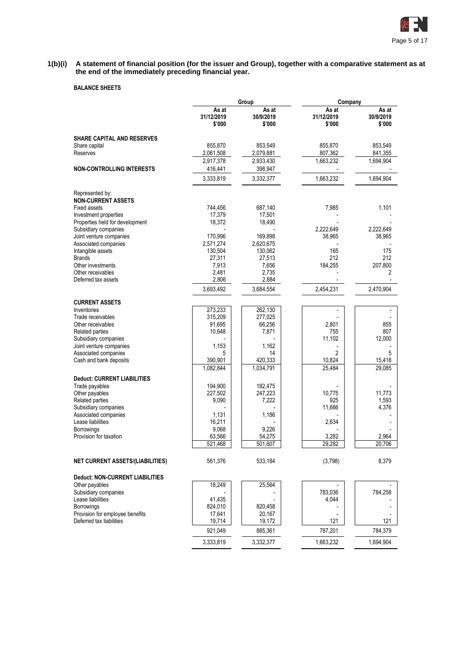

**1(b)(i) A statement of financial position (for the issuer and Group), together with a comparative statement as at the end of the immediately preceding financial year.**

# **BALANCE SHEETS**

|                                                             |                               | Group                        | Company                       |                              |  |  |
|-------------------------------------------------------------|-------------------------------|------------------------------|-------------------------------|------------------------------|--|--|
|                                                             | As at<br>31/12/2019<br>\$'000 | As at<br>30/9/2019<br>\$'000 | As at<br>31/12/2019<br>\$'000 | As at<br>30/9/2019<br>\$'000 |  |  |
| <b>SHARE CAPITAL AND RESERVES</b>                           |                               |                              |                               |                              |  |  |
| Share capital                                               | 855,870                       | 853,549                      | 855,870                       | 853.549                      |  |  |
| Reserves                                                    | 2,061,508<br>2,917,378        | 2,079,881<br>2,933,430       | 807,362<br>1,663,232          | 841,355<br>1,694,904         |  |  |
| <b>NON-CONTROLLING INTERESTS</b>                            | 416,441                       | 398,947                      |                               |                              |  |  |
|                                                             | 3,333,819                     | 3,332,377                    | 1,663,232                     | 1,694,904                    |  |  |
|                                                             |                               |                              |                               |                              |  |  |
| Represented by:                                             |                               |                              |                               |                              |  |  |
| <b>NON-CURRENT ASSETS</b><br>Fixed assets                   | 744,456                       | 687,140                      | 7,985                         | 1,101                        |  |  |
| Investment properties                                       | 17,379                        | 17,501                       |                               |                              |  |  |
| Properties held for development                             | 18,372                        | 18,490                       |                               |                              |  |  |
| Subsidiary companies                                        |                               |                              | 2,222,649                     | 2,222,649                    |  |  |
| Joint venture companies                                     | 170,996                       | 169,898                      | 38,965                        | 38,965                       |  |  |
| Associated companies                                        | 2,571,274                     | 2,620,675                    |                               |                              |  |  |
| Intangible assets                                           | 130,504                       | 130,062                      | 165                           | 175                          |  |  |
| <b>Brands</b>                                               | 27,311                        | 27,513                       | 212                           | 212                          |  |  |
| Other investments<br>Other receivables                      | 7,913<br>2,481                | 7,656                        | 184,255                       | 207,800<br>2                 |  |  |
| Deferred tax assets                                         | 2,806                         | 2,735<br>2,884               |                               |                              |  |  |
|                                                             | 3,693,492                     | 3,684,554                    | 2,454,231                     | 2,470,904                    |  |  |
|                                                             |                               |                              |                               |                              |  |  |
| <b>CURRENT ASSETS</b>                                       |                               |                              |                               |                              |  |  |
| Inventories                                                 | 273,233                       | 262,130                      |                               |                              |  |  |
| Trade receivables<br>Other receivables                      | 315,209<br>91,695             | 277,025<br>66,256            | 2,801                         | 855                          |  |  |
| Related parties                                             | 10,648                        | 7,871                        | 755                           | 807                          |  |  |
| Subsidiary companies                                        |                               |                              | 11,102                        | 12,000                       |  |  |
| Joint venture companies                                     | 1,153                         | 1,162                        |                               |                              |  |  |
| Associated companies                                        | 5                             | 14                           | 2                             | 5                            |  |  |
| Cash and bank deposits                                      | 390,901                       | 420,333                      | 10,824                        | 15,418                       |  |  |
|                                                             | 1,082,844                     | 1,034,791                    | 25,484                        | 29,085                       |  |  |
| <b>Deduct: CURRENT LIABILITIES</b>                          |                               |                              |                               |                              |  |  |
| Trade payables                                              | 194,900                       | 182,475                      |                               |                              |  |  |
| Other payables                                              | 227,502                       | 247,223                      | 10,775                        | 11,773                       |  |  |
| Related parties                                             | 9,090                         | 7,222                        | 925                           | 1,593                        |  |  |
| Subsidiary companies                                        |                               |                              | 11,666                        | 4,376                        |  |  |
| Associated companies                                        | 1,131                         | 1,186                        |                               |                              |  |  |
| Lease liabilities                                           | 16,211                        |                              | 2,634                         |                              |  |  |
| <b>Borrowings</b><br>Provision for taxation                 | 9,068<br>63,566               | 9,226<br>54,275              | 3,282                         | 2,964                        |  |  |
|                                                             | 521,468                       | 501,607                      | 29,282                        | 20,706                       |  |  |
|                                                             |                               |                              |                               |                              |  |  |
| <b>NET CURRENT ASSETS/(LIABILITIES)</b>                     | 561,376                       | 533,184                      | (3,798)                       | 8,379                        |  |  |
| Deduct: NON-CURRENT LIABILITIES                             |                               |                              |                               |                              |  |  |
| Other payables                                              | 18,249                        | 25,564                       |                               |                              |  |  |
| Subsidiary companies                                        |                               |                              | 783,036                       | 784,258                      |  |  |
| Lease liabilities                                           | 41,435                        |                              | 4,044                         |                              |  |  |
| Borrowings                                                  | 824,010                       | 820,458                      |                               |                              |  |  |
| Provision for employee benefits<br>Deferred tax liabilities | 17,641<br>19,714              | 20,167<br>19,172             | 121                           | 121                          |  |  |
|                                                             | 921,049                       | 885,361                      | 787,201                       | 784,379                      |  |  |
|                                                             | 3,333,819                     |                              | 1,663,232                     | 1,694,904                    |  |  |
|                                                             |                               | 3,332,377                    |                               |                              |  |  |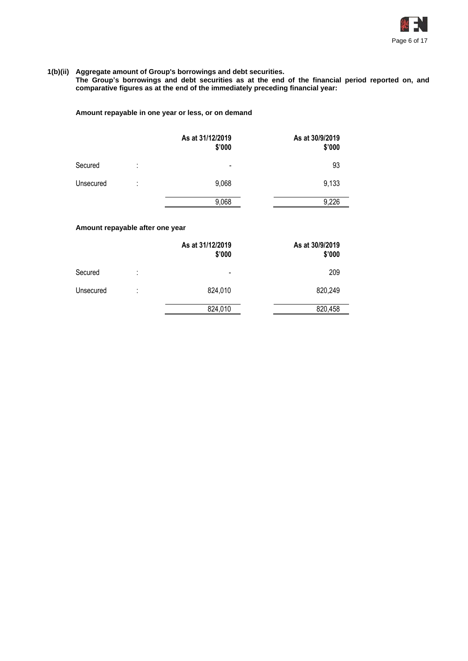

## **1(b)(ii) Aggregate amount of Group's borrowings and debt securities.**

**The Group's borrowings and debt securities as at the end of the financial period reported on, and comparative figures as at the end of the immediately preceding financial year:**

# **Amount repayable in one year or less, or on demand**

|           |         | As at 31/12/2019<br>\$'000 | As at 30/9/2019<br>\$'000 |
|-----------|---------|----------------------------|---------------------------|
| Secured   | ٠<br>٠  | $\overline{\phantom{a}}$   | 93                        |
| Unsecured | ٠<br>٠. | 9,068                      | 9,133                     |
|           |         | 9,068                      | 9,226                     |

# **Amount repayable after one year**

|           |        | As at 31/12/2019<br>\$'000 | As at 30/9/2019<br>\$'000 |
|-----------|--------|----------------------------|---------------------------|
| Secured   | ٠<br>٠ | $\overline{\phantom{0}}$   | 209                       |
| Unsecured | ٠      | 824,010                    | 820,249                   |
|           |        | 824,010                    | 820,458                   |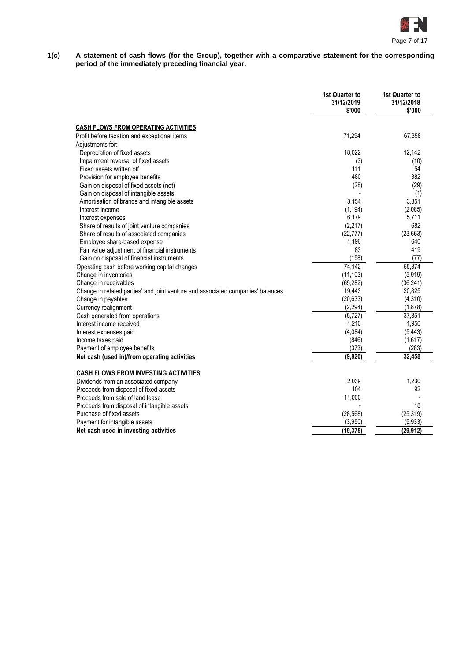

**1(c) A statement of cash flows (for the Group), together with a comparative statement for the corresponding period of the immediately preceding financial year.**

|                                                                                 | 1st Quarter to<br>31/12/2019<br>\$'000 | <b>1st Quarter to</b><br>31/12/2018<br>\$'000 |
|---------------------------------------------------------------------------------|----------------------------------------|-----------------------------------------------|
| <b>CASH FLOWS FROM OPERATING ACTIVITIES</b>                                     |                                        |                                               |
| Profit before taxation and exceptional items                                    | 71,294                                 | 67,358                                        |
| Adjustments for:                                                                |                                        |                                               |
| Depreciation of fixed assets                                                    | 18,022                                 | 12,142                                        |
| Impairment reversal of fixed assets                                             | (3)                                    | (10)                                          |
| Fixed assets written off                                                        | 111                                    | 54                                            |
| Provision for employee benefits                                                 | 480                                    | 382                                           |
| Gain on disposal of fixed assets (net)                                          | (28)                                   | (29)                                          |
| Gain on disposal of intangible assets                                           |                                        | (1)                                           |
| Amortisation of brands and intangible assets                                    | 3,154                                  | 3,851                                         |
| Interest income                                                                 | (1, 194)                               | (2,085)                                       |
| Interest expenses                                                               | 6,179                                  | 5,711                                         |
| Share of results of joint venture companies                                     | (2, 217)                               | 682                                           |
| Share of results of associated companies                                        | (22, 777)                              | (23, 663)                                     |
| Employee share-based expense                                                    | 1,196                                  | 640                                           |
| Fair value adjustment of financial instruments                                  | 83                                     | 419                                           |
| Gain on disposal of financial instruments                                       | (158)                                  | (77)                                          |
| Operating cash before working capital changes                                   | 74,142                                 | 65,374                                        |
| Change in inventories                                                           | (11, 103)                              | (5,919)                                       |
| Change in receivables                                                           | (65, 282)                              | (36, 241)                                     |
| Change in related parties' and joint venture and associated companies' balances | 19,443                                 | 20,825                                        |
| Change in payables                                                              | (20, 633)                              | (4, 310)                                      |
| Currency realignment                                                            | (2, 294)                               | (1,878)                                       |
| Cash generated from operations                                                  | (5, 727)                               | 37,851                                        |
| Interest income received                                                        | 1,210                                  | 1,950                                         |
| Interest expenses paid                                                          | (4,084)                                | (5, 443)                                      |
| Income taxes paid                                                               | (846)                                  | (1,617)                                       |
| Payment of employee benefits                                                    | (373)                                  | (283)                                         |
| Net cash (used in)/from operating activities                                    | (9,820)                                | 32,458                                        |
| <b>CASH FLOWS FROM INVESTING ACTIVITIES</b>                                     |                                        |                                               |
| Dividends from an associated company                                            | 2,039                                  | 1,230                                         |
| Proceeds from disposal of fixed assets                                          | 104                                    | 92                                            |
| Proceeds from sale of land lease                                                | 11,000                                 |                                               |
| Proceeds from disposal of intangible assets                                     |                                        | 18                                            |
| Purchase of fixed assets                                                        | (28, 568)                              | (25, 319)                                     |
| Payment for intangible assets                                                   | (3,950)                                | (5,933)                                       |
| Net cash used in investing activities                                           | (19, 375)                              | (29, 912)                                     |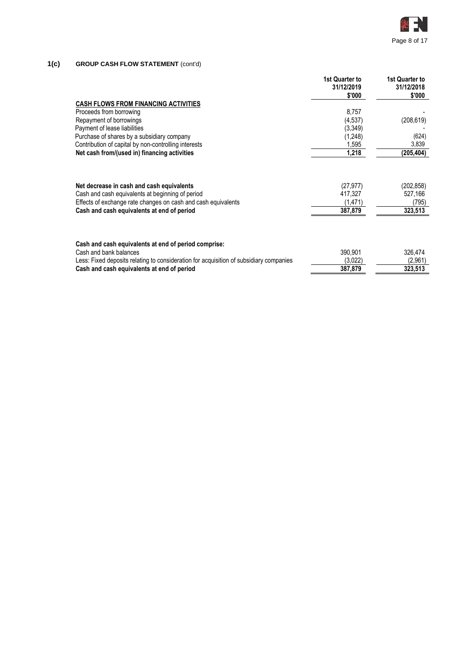

# **1(c) GROUP CASH FLOW STATEMENT** (cont'd)

|                                                                                        | 1st Quarter to<br>31/12/2019<br>\$'000 | 1st Quarter to<br>31/12/2018<br>\$'000 |
|----------------------------------------------------------------------------------------|----------------------------------------|----------------------------------------|
| <b>CASH FLOWS FROM FINANCING ACTIVITIES</b>                                            |                                        |                                        |
| Proceeds from borrowing                                                                | 8,757                                  |                                        |
| Repayment of borrowings                                                                | (4,537)                                | (208, 619)                             |
| Payment of lease liabilities                                                           | (3, 349)                               |                                        |
| Purchase of shares by a subsidiary company                                             | (1,248)                                | (624)                                  |
| Contribution of capital by non-controlling interests                                   | 1,595                                  | 3,839                                  |
| Net cash from/(used in) financing activities                                           | 1,218                                  | (205,404)                              |
| Net decrease in cash and cash equivalents                                              | (27,977)                               | (202,858)                              |
| Cash and cash equivalents at beginning of period                                       | 417,327                                | 527,166                                |
| Effects of exchange rate changes on cash and cash equivalents                          | (1,471)                                | (795)                                  |
| Cash and cash equivalents at end of period                                             | 387,879                                | 323,513                                |
| Cash and cash equivalents at end of period comprise:                                   |                                        |                                        |
| Cash and bank balances                                                                 | 390,901                                | 326,474                                |
| Less: Fixed deposits relating to consideration for acquisition of subsidiary companies | (3,022)                                | (2,961)                                |
| Cash and cash equivalents at end of period                                             | 387,879                                | 323,513                                |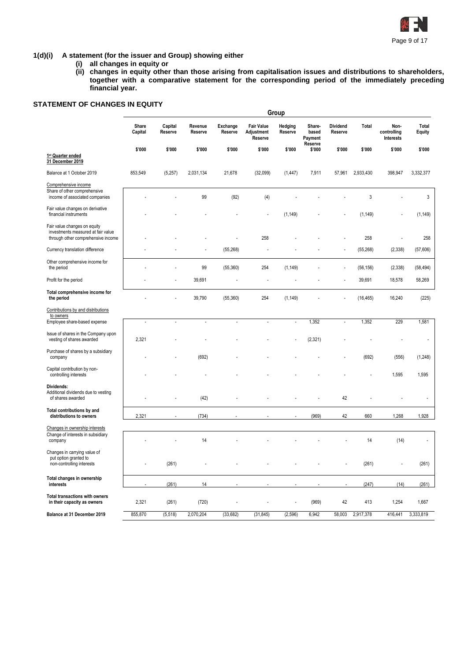

# **1(d)(i) A statement (for the issuer and Group) showing either**

- **(i) all changes in equity or**
- **(ii) changes in equity other than those arising from capitalisation issues and distributions to shareholders, together with a comparative statement for the corresponding period of the immediately preceding financial year.**

# **STATEMENT OF CHANGES IN EQUITY**

|                                                                                                          |                  |                    |                    |                     |                                            | Group                    |                                       |                            |           |                                  |                 |
|----------------------------------------------------------------------------------------------------------|------------------|--------------------|--------------------|---------------------|--------------------------------------------|--------------------------|---------------------------------------|----------------------------|-----------|----------------------------------|-----------------|
|                                                                                                          | Share<br>Capital | Capital<br>Reserve | Revenue<br>Reserve | Exchange<br>Reserve | <b>Fair Value</b><br>Adjustment<br>Reserve | Hedging<br>Reserve       | Share-<br>based<br>Payment<br>Reserve | <b>Dividend</b><br>Reserve | Total     | Non-<br>controlling<br>Interests | Total<br>Equity |
| 1 <sup>st</sup> Quarter ended<br>31 December 2019                                                        | \$'000           | \$'000             | \$'000             | \$'000              | \$'000                                     | \$'000                   | \$'000                                | \$'000                     | \$'000    | \$'000                           | \$'000          |
| Balance at 1 October 2019                                                                                | 853,549          | (5,257)            | 2,031,134          | 21,678              | (32,099)                                   | (1, 447)                 | 7,911                                 | 57,961                     | 2,933,430 | 398,947                          | 3,332,377       |
| Comprehensive income<br>Share of other comprehensive<br>income of associated companies                   |                  |                    | 99                 | (92)                | (4)                                        |                          |                                       |                            | 3         |                                  | 3               |
| Fair value changes on derivative<br>financial instruments                                                |                  |                    |                    |                     |                                            | (1, 149)                 |                                       |                            | (1, 149)  |                                  | (1, 149)        |
| Fair value changes on equity<br>investments measured at fair value<br>through other comprehensive income |                  |                    |                    |                     | 258                                        |                          |                                       |                            | 258       |                                  | 258             |
| Currency translation difference                                                                          |                  |                    |                    | (55,268)            |                                            |                          |                                       |                            | (55, 268) | (2, 338)                         | (57,606)        |
| Other comprehensive income for<br>the period                                                             |                  |                    | 99                 | (55,360)            | 254                                        | (1, 149)                 |                                       |                            | (56, 156) | (2, 338)                         | (58, 494)       |
| Profit for the period                                                                                    |                  |                    | 39,691             |                     |                                            |                          |                                       |                            | 39,691    | 18,578                           | 58,269          |
| Total comprehensive income for<br>the period                                                             |                  |                    | 39,790             | (55,360)            | 254                                        | (1, 149)                 |                                       |                            | (16, 465) | 16,240                           | (225)           |
| Contributions by and distributions<br>to owners                                                          |                  |                    |                    |                     |                                            |                          |                                       |                            |           |                                  |                 |
| Employee share-based expense                                                                             | $\overline{a}$   | $\overline{a}$     | $\overline{a}$     | ÷,                  | $\overline{a}$                             | $\overline{a}$           | 1,352                                 | $\overline{a}$             | 1,352     | 229                              | 1,581           |
| Issue of shares in the Company upon<br>vesting of shares awarded                                         | 2,321            |                    |                    |                     |                                            |                          | (2, 321)                              |                            |           |                                  |                 |
| Purchase of shares by a subsidiary<br>company                                                            |                  |                    | (692)              |                     |                                            |                          |                                       |                            | (692)     | (556)                            | (1,248)         |
| Capital contribution by non-<br>controlling interests                                                    |                  |                    |                    |                     |                                            |                          |                                       |                            |           | 1,595                            | 1,595           |
| Dividends:<br>Additional dividends due to vesting<br>of shares awarded                                   |                  |                    | (42)               |                     |                                            |                          |                                       | 42                         |           |                                  |                 |
| Total contributions by and<br>distributions to owners                                                    | 2,321            |                    | (734)              |                     |                                            |                          | (969)                                 | 42                         | 660       | 1,268                            | 1,928           |
| Changes in ownership interests<br>Change of interests in subsidiary<br>company                           |                  |                    | 14                 |                     |                                            |                          |                                       |                            | 14        | (14)                             |                 |
| Changes in carrying value of<br>put option granted to<br>non-controlling interests                       |                  | (261)              |                    |                     |                                            |                          |                                       |                            | (261)     |                                  | (261)           |
| Total changes in ownership<br>interests                                                                  | $\blacksquare$   | (261)              | 14                 | ٠                   |                                            | $\overline{\phantom{a}}$ | $\overline{\phantom{a}}$              | ä,                         | (247)     | (14)                             | (261)           |
| Total transactions with owners<br>in their capacity as owners                                            | 2,321            | (261)              | (720)              |                     | ÷                                          | $\blacksquare$           | (969)                                 | 42                         | 413       | 1,254                            | 1,667           |
| Balance at 31 December 2019                                                                              | 855,870          | (5, 518)           | 2,070,204          | (33, 682)           | (31, 845)                                  | (2,596)                  | 6,942                                 | 58,003                     | 2,917,378 | 416,441                          | 3,333,819       |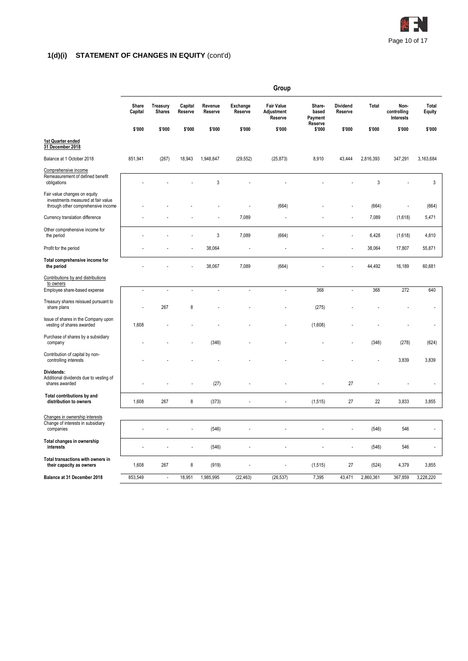

# **1(d)(i) STATEMENT OF CHANGES IN EQUITY** (cont'd)

|                                                                                                          |                  |                           |                    |                    |                            | Group                                      |                            |                     |             |                                  |                 |
|----------------------------------------------------------------------------------------------------------|------------------|---------------------------|--------------------|--------------------|----------------------------|--------------------------------------------|----------------------------|---------------------|-------------|----------------------------------|-----------------|
|                                                                                                          | Share<br>Capital | Treasury<br><b>Shares</b> | Capital<br>Reserve | Revenue<br>Reserve | <b>Exchange</b><br>Reserve | <b>Fair Value</b><br>Adjustment<br>Reserve | Share-<br>based<br>Payment | Dividend<br>Reserve | Total       | Non-<br>controlling<br>Interests | Total<br>Equity |
|                                                                                                          | \$'000           | \$'000                    | \$'000             | \$'000             | \$'000                     | \$'000                                     | Reserve<br>\$'000          | \$'000              | \$'000      | \$'000                           | \$'000          |
| 1st Quarter ended<br>31 December 2018                                                                    |                  |                           |                    |                    |                            |                                            |                            |                     |             |                                  |                 |
| Balance at 1 October 2018                                                                                | 851,941          | (267)                     | 18,943             | 1,948,847          | (29, 552)                  | (25, 873)                                  | 8,910                      | 43,444              | 2,816,393   | 347,291                          | 3,163,684       |
| Comprehensive income<br>Remeasurement of defined benefit<br>obligations                                  |                  |                           |                    | $\mathbf{3}$       |                            |                                            |                            |                     | $\mathsf 3$ |                                  | 3               |
| Fair value changes on equity<br>investments measured at fair value<br>through other comprehensive income |                  |                           |                    |                    |                            | (664)                                      |                            |                     | (664)       | ÷,                               | (664)           |
| Currency translation difference                                                                          |                  |                           |                    |                    | 7,089                      |                                            |                            |                     | 7,089       | (1,618)                          | 5,471           |
| Other comprehensive income for<br>the period                                                             |                  |                           |                    | 3                  | 7,089                      | (664)                                      |                            |                     | 6,428       | (1,618)                          | 4,810           |
| Profit for the period                                                                                    |                  |                           |                    | 38,064             |                            |                                            |                            |                     | 38,064      | 17,807                           | 55,871          |
| Total comprehensive income for<br>the period                                                             |                  |                           |                    | 38,067             | 7,089                      | (664)                                      |                            |                     | 44,492      | 16,189                           | 60,681          |
| Contributions by and distributions<br>to owners                                                          |                  |                           |                    |                    |                            |                                            |                            |                     |             |                                  |                 |
| Employee share-based expense                                                                             | ÷,               | $\overline{a}$            |                    |                    | ÷,                         | $\overline{a}$                             | 368                        | $\overline{a}$      | 368         | 272                              | 640             |
| Treasury shares reissued pursuant to<br>share plans                                                      |                  | 267                       | 8                  |                    |                            |                                            | (275)                      |                     |             |                                  |                 |
| Issue of shares in the Company upon<br>vesting of shares awarded                                         | 1,608            |                           |                    |                    |                            |                                            | (1,608)                    |                     |             |                                  |                 |
| Purchase of shares by a subsidiary<br>company                                                            |                  |                           |                    | (346)              |                            |                                            |                            |                     | (346)       | (278)                            | (624)           |
| Contribution of capital by non-<br>controlling interests                                                 |                  |                           |                    |                    |                            |                                            |                            |                     |             | 3,839                            | 3,839           |
| Dividends:<br>Additional dividends due to vesting of<br>shares awarded                                   |                  |                           |                    | (27)               |                            |                                            |                            | 27                  |             |                                  |                 |
| Total contributions by and<br>distribution to owners                                                     | 1,608            | 267                       | 8                  | (373)              | ÷,                         | ÷,                                         | (1, 515)                   | 27                  | 22          | 3,833                            | 3,855           |
| Changes in ownership interests                                                                           |                  |                           |                    |                    |                            |                                            |                            |                     |             |                                  |                 |
| Change of interests in subsidiary<br>companies                                                           |                  |                           |                    | (546)              |                            |                                            |                            | ÷,                  | (546)       | 546                              |                 |
| Total changes in ownership<br>interests                                                                  |                  |                           | L                  | (546)              |                            | l,                                         |                            | ÷                   | (546)       | 546                              | $\overline{a}$  |
| Total transactions with owners in<br>their capacity as owners                                            | 1,608            | 267                       | 8                  | (919)              |                            |                                            | (1, 515)                   | 27                  | (524)       | 4,379                            | 3,855           |
| Balance at 31 December 2018                                                                              | 853,549          | $\overline{\phantom{a}}$  | 18,951             | 1,985,995          | (22, 463)                  | (26, 537)                                  | 7,395                      | 43,471              | 2,860,361   | 367,859                          | 3,228,220       |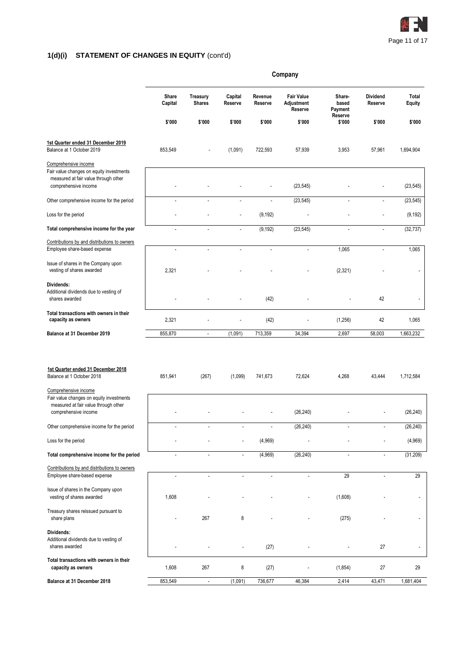

# **1(d)(i) STATEMENT OF CHANGES IN EQUITY** (cont'd)

|                                                                                                                                                                             | Company          |                           |                    |                          |                                            |                                       |                            |                 |
|-----------------------------------------------------------------------------------------------------------------------------------------------------------------------------|------------------|---------------------------|--------------------|--------------------------|--------------------------------------------|---------------------------------------|----------------------------|-----------------|
|                                                                                                                                                                             | Share<br>Capital | Treasury<br><b>Shares</b> | Capital<br>Reserve | Revenue<br>Reserve       | <b>Fair Value</b><br>Adjustment<br>Reserve | Share-<br>based<br>Payment<br>Reserve | <b>Dividend</b><br>Reserve | Total<br>Equity |
|                                                                                                                                                                             | \$'000           | \$'000                    | \$'000             | \$'000                   | \$'000                                     | \$'000                                | \$'000                     | \$'000          |
| 1st Quarter ended 31 December 2019<br>Balance at 1 October 2019                                                                                                             | 853,549          |                           | (1,091)            | 722,593                  | 57,939                                     | 3,953                                 | 57,961                     | 1,694,904       |
| Comprehensive income<br>Fair value changes on equity investments<br>measured at fair value through other<br>comprehensive income                                            |                  |                           |                    |                          | (23, 545)                                  |                                       |                            | (23, 545)       |
| Other comprehensive income for the period                                                                                                                                   | ٠                | $\overline{\phantom{a}}$  | $\blacksquare$     | $\overline{a}$           | (23, 545)                                  | $\overline{\phantom{a}}$              | $\overline{a}$             | (23, 545)       |
| Loss for the period                                                                                                                                                         |                  |                           |                    | (9, 192)                 |                                            |                                       |                            | (9, 192)        |
| Total comprehensive income for the year                                                                                                                                     | ÷,               | ÷,                        | ÷,                 | (9, 192)                 | (23, 545)                                  | ÷,                                    | $\overline{a}$             | (32, 737)       |
| Contributions by and distributions to owners<br>Employee share-based expense                                                                                                | $\overline{a}$   | $\sim$                    | ÷.                 | $\overline{\phantom{a}}$ | $\overline{\phantom{a}}$                   | 1,065                                 | $\overline{\phantom{a}}$   | 1,065           |
| Issue of shares in the Company upon<br>vesting of shares awarded                                                                                                            | 2,321            |                           |                    |                          |                                            | (2, 321)                              |                            |                 |
| Dividends:<br>Additional dividends due to vesting of<br>shares awarded                                                                                                      |                  |                           |                    | (42)                     |                                            |                                       | 42                         |                 |
| Total transactions with owners in their<br>capacity as owners                                                                                                               | 2,321            |                           |                    | (42)                     |                                            | (1,256)                               | 42                         | 1,065           |
| Balance at 31 December 2019                                                                                                                                                 | 855,870          | $\overline{\phantom{a}}$  | (1,091)            | 713,359                  | 34,394                                     | 2,697                                 | 58,003                     | 1,663,232       |
| 1st Quarter ended 31 December 2018<br>Balance at 1 October 2018<br>Comprehensive income<br>Fair value changes on equity investments<br>measured at fair value through other | 851,941          | (267)                     | (1,099)            | 741,673                  | 72,624                                     | 4,268                                 | 43,444                     | 1,712,584       |
| comprehensive income                                                                                                                                                        |                  |                           |                    |                          | (26, 240)                                  |                                       |                            | (26, 240)       |
| Other comprehensive income for the period                                                                                                                                   |                  |                           |                    |                          | (26, 240)                                  |                                       |                            | (26, 240)       |
| Loss for the period                                                                                                                                                         |                  |                           |                    | (4,969)                  |                                            |                                       |                            | (4,969)         |
| Total comprehensive income for the period                                                                                                                                   | ÷,               | ÷,                        | L.                 | (4,969)                  | (26, 240)                                  | ÷,                                    | ÷,                         | (31, 209)       |
| Contributions by and distributions to owners<br>Employee share-based expense                                                                                                | $\overline{a}$   | ÷.                        | ÷.                 | ÷.                       |                                            | 29                                    | $\overline{a}$             | 29              |
| Issue of shares in the Company upon<br>vesting of shares awarded                                                                                                            | 1,608            |                           |                    |                          |                                            | (1,608)                               |                            |                 |
| Treasury shares reissued pursuant to<br>share plans                                                                                                                         |                  | 267                       | 8                  |                          |                                            | (275)                                 |                            |                 |
| Dividends:<br>Additional dividends due to vesting of<br>shares awarded                                                                                                      |                  |                           |                    | (27)                     |                                            |                                       | 27                         |                 |
| Total transactions with owners in their<br>capacity as owners                                                                                                               | 1,608            | 267                       | 8                  | (27)                     |                                            | (1,854)                               | 27                         | 29              |
| Balance at 31 December 2018                                                                                                                                                 | 853,549          | $\overline{\phantom{a}}$  | (1,091)            | 736,677                  | 46,384                                     | 2,414                                 | 43,471                     | 1,681,404       |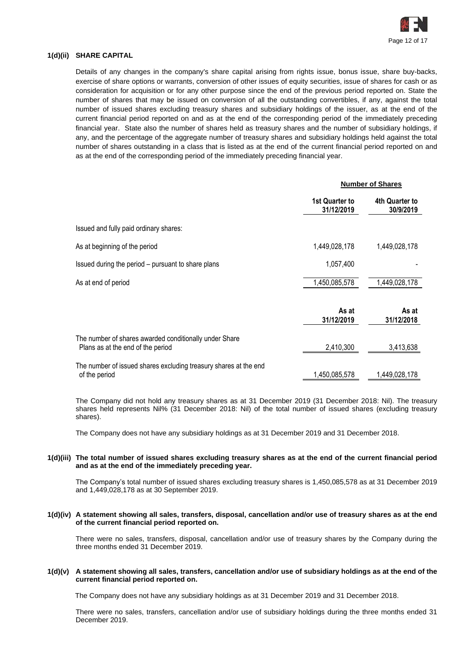

# **1(d)(ii) SHARE CAPITAL**

Details of any changes in the company's share capital arising from rights issue, bonus issue, share buy-backs, exercise of share options or warrants, conversion of other issues of equity securities, issue of shares for cash or as consideration for acquisition or for any other purpose since the end of the previous period reported on. State the number of shares that may be issued on conversion of all the outstanding convertibles, if any, against the total number of issued shares excluding treasury shares and subsidiary holdings of the issuer, as at the end of the current financial period reported on and as at the end of the corresponding period of the immediately preceding financial year. State also the number of shares held as treasury shares and the number of subsidiary holdings, if any, and the percentage of the aggregate number of treasury shares and subsidiary holdings held against the total number of shares outstanding in a class that is listed as at the end of the current financial period reported on and as at the end of the corresponding period of the immediately preceding financial year.

|                                                                                             | <b>Number of Shares</b>             |                             |  |
|---------------------------------------------------------------------------------------------|-------------------------------------|-----------------------------|--|
|                                                                                             | <b>1st Quarter to</b><br>31/12/2019 | 4th Quarter to<br>30/9/2019 |  |
| Issued and fully paid ordinary shares:                                                      |                                     |                             |  |
| As at beginning of the period                                                               | 1,449,028,178                       | 1,449,028,178               |  |
| Issued during the period – pursuant to share plans                                          | 1,057,400                           |                             |  |
| As at end of period                                                                         | 1,450,085,578                       | 1,449,028,178               |  |
|                                                                                             | As at<br>31/12/2019                 | As at<br>31/12/2018         |  |
| The number of shares awarded conditionally under Share<br>Plans as at the end of the period | 2,410,300                           | 3,413,638                   |  |
| The number of issued shares excluding treasury shares at the end<br>of the period           | 1,450,085,578                       | 1,449,028,178               |  |

The Company did not hold any treasury shares as at 31 December 2019 (31 December 2018: Nil). The treasury shares held represents Nil% (31 December 2018: Nil) of the total number of issued shares (excluding treasury shares).

The Company does not have any subsidiary holdings as at 31 December 2019 and 31 December 2018.

#### **1(d)(iii) The total number of issued shares excluding treasury shares as at the end of the current financial period and as at the end of the immediately preceding year.**

The Company's total number of issued shares excluding treasury shares is 1,450,085,578 as at 31 December 2019 and 1,449,028,178 as at 30 September 2019.

### **1(d)(iv) A statement showing all sales, transfers, disposal, cancellation and/or use of treasury shares as at the end of the current financial period reported on.**

There were no sales, transfers, disposal, cancellation and/or use of treasury shares by the Company during the three months ended 31 December 2019.

#### **1(d)(v) A statement showing all sales, transfers, cancellation and/or use of subsidiary holdings as at the end of the current financial period reported on.**

The Company does not have any subsidiary holdings as at 31 December 2019 and 31 December 2018.

There were no sales, transfers, cancellation and/or use of subsidiary holdings during the three months ended 31 December 2019.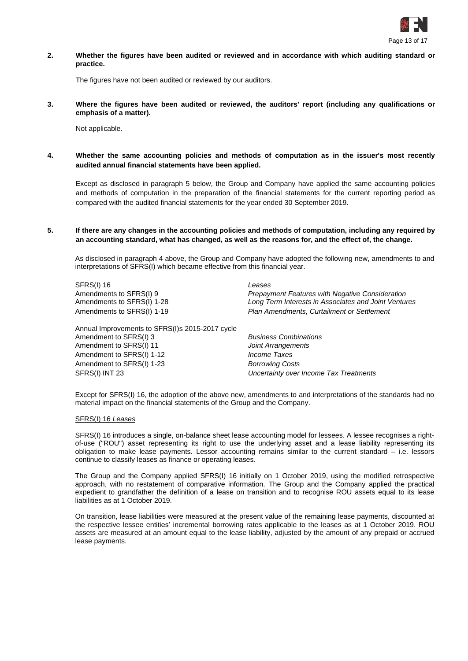

**2. Whether the figures have been audited or reviewed and in accordance with which auditing standard or practice.**

The figures have not been audited or reviewed by our auditors.

**3. Where the figures have been audited or reviewed, the auditors' report (including any qualifications or emphasis of a matter).**

Not applicable.

**4. Whether the same accounting policies and methods of computation as in the issuer's most recently audited annual financial statements have been applied.**

Except as disclosed in paragraph 5 below, the Group and Company have applied the same accounting policies and methods of computation in the preparation of the financial statements for the current reporting period as compared with the audited financial statements for the year ended 30 September 2019.

**5. If there are any changes in the accounting policies and methods of computation, including any required by an accounting standard, what has changed, as well as the reasons for, and the effect of, the change.**

As disclosed in paragraph 4 above, the Group and Company have adopted the following new, amendments to and interpretations of SFRS(I) which became effective from this financial year.

SFRS(I) 16 *Leases*

Annual Improvements to SFRS(I)s 2015-2017 cycle Amendment to SFRS(I) 3 *Business Combinations* Amendment to SFRS(I) 11 *Joint Arrangements* Amendment to SFRS(I) 1-12 *Income Taxes* Amendment to SFRS(I) 1-23 *Borrowing Costs* SFRS(I) INT 23 *Uncertainty over Income Tax Treatments*

Amendments to SFRS(I) 9 *Prepayment Features with Negative Consideration* Amendments to SFRS(I) 1-28 *Long Term Interests in Associates and Joint Ventures* Amendments to SFRS(I) 1-19 *Plan Amendments, Curtailment or Settlement*

Except for SFRS(I) 16, the adoption of the above new, amendments to and interpretations of the standards had no material impact on the financial statements of the Group and the Company.

#### SFRS(I) 16 *Leases*

SFRS(I) 16 introduces a single, on-balance sheet lease accounting model for lessees. A lessee recognises a rightof-use ("ROU") asset representing its right to use the underlying asset and a lease liability representing its obligation to make lease payments. Lessor accounting remains similar to the current standard – i.e. lessors continue to classify leases as finance or operating leases.

The Group and the Company applied SFRS(I) 16 initially on 1 October 2019, using the modified retrospective approach, with no restatement of comparative information. The Group and the Company applied the practical expedient to grandfather the definition of a lease on transition and to recognise ROU assets equal to its lease liabilities as at 1 October 2019.

On transition, lease liabilities were measured at the present value of the remaining lease payments, discounted at the respective lessee entities' incremental borrowing rates applicable to the leases as at 1 October 2019. ROU assets are measured at an amount equal to the lease liability, adjusted by the amount of any prepaid or accrued lease payments.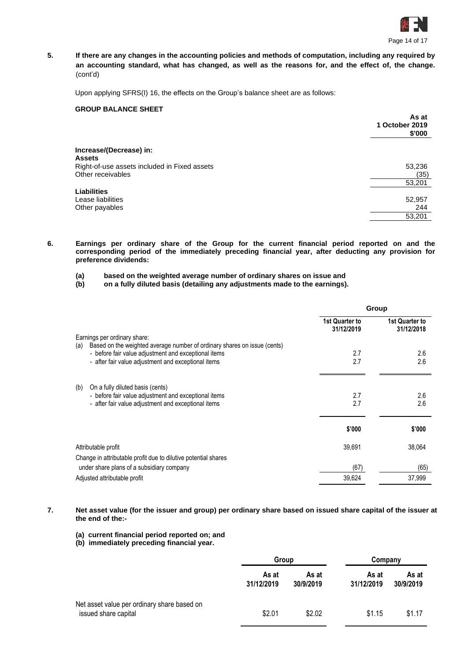

**5. If there are any changes in the accounting policies and methods of computation, including any required by an accounting standard, what has changed, as well as the reasons for, and the effect of, the change.** (cont'd)

Upon applying SFRS(I) 16, the effects on the Group's balance sheet are as follows:

# **GROUP BALANCE SHEET**

|                                              | As at<br>1 October 2019<br>\$'000 |
|----------------------------------------------|-----------------------------------|
| Increase/(Decrease) in:                      |                                   |
| <b>Assets</b>                                |                                   |
| Right-of-use assets included in Fixed assets | 53,236                            |
| Other receivables                            | (35)                              |
|                                              | 53,201                            |
| <b>Liabilities</b>                           |                                   |
| Lease liabilities                            | 52,957                            |
| Other payables                               | 244                               |
|                                              | 53,201                            |
|                                              |                                   |

- **6. Earnings per ordinary share of the Group for the current financial period reported on and the corresponding period of the immediately preceding financial year, after deducting any provision for preference dividends:**
	- **(a) based on the weighted average number of ordinary shares on issue and**

**(b) on a fully diluted basis (detailing any adjustments made to the earnings).**

|                                                                                                                 | Group                        |                              |  |
|-----------------------------------------------------------------------------------------------------------------|------------------------------|------------------------------|--|
|                                                                                                                 | 1st Quarter to<br>31/12/2019 | 1st Quarter to<br>31/12/2018 |  |
| Earnings per ordinary share:<br>Based on the weighted average number of ordinary shares on issue (cents)<br>(a) |                              |                              |  |
| - before fair value adjustment and exceptional items                                                            | 2.7                          | 2.6                          |  |
| - after fair value adjustment and exceptional items                                                             | 2.7                          | 2.6                          |  |
| (b)<br>On a fully diluted basis (cents)                                                                         |                              |                              |  |
| - before fair value adjustment and exceptional items                                                            | 2.7                          | 2.6                          |  |
| - after fair value adjustment and exceptional items                                                             | 2.7                          | 2.6                          |  |
|                                                                                                                 | \$'000                       | \$'000                       |  |
| Attributable profit                                                                                             | 39,691                       | 38.064                       |  |
| Change in attributable profit due to dilutive potential shares                                                  |                              |                              |  |
| under share plans of a subsidiary company                                                                       | (67)                         | (65)                         |  |
| Adjusted attributable profit                                                                                    | 39,624                       | 37,999                       |  |

**7. Net asset value (for the issuer and group) per ordinary share based on issued share capital of the issuer at the end of the:-**

**(a) current financial period reported on; and**

**(b) immediately preceding financial year.**

|                                                                     | Group               |                    | Company             |                    |
|---------------------------------------------------------------------|---------------------|--------------------|---------------------|--------------------|
|                                                                     | As at<br>31/12/2019 | As at<br>30/9/2019 | As at<br>31/12/2019 | As at<br>30/9/2019 |
| Net asset value per ordinary share based on<br>issued share capital | \$2.01              | \$2.02             | \$1.15              | \$1.17             |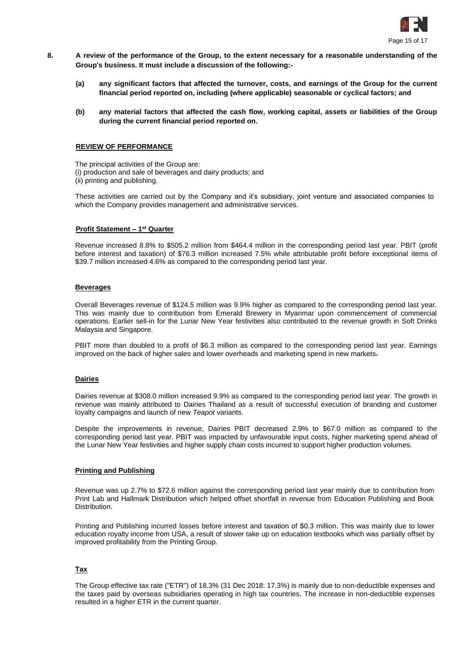

- **8. A review of the performance of the Group, to the extent necessary for a reasonable understanding of the Group's business. It must include a discussion of the following:-**
	- **(a) any significant factors that affected the turnover, costs, and earnings of the Group for the current financial period reported on, including (where applicable) seasonable or cyclical factors; and**
	- **(b) any material factors that affected the cash flow, working capital, assets or liabilities of the Group during the current financial period reported on.**

#### **REVIEW OF PERFORMANCE**

The principal activities of the Group are: (i) production and sale of beverages and dairy products; and (ii) printing and publishing.

These activities are carried out by the Company and it's subsidiary, joint venture and associated companies to which the Company provides management and administrative services.

#### **Profit Statement – 1 st Quarter**

Revenue increased 8.8% to \$505.2 million from \$464.4 million in the corresponding period last year. PBIT (profit before interest and taxation) of \$76.3 million increased 7.5% while attributable profit before exceptional items of \$39.7 million increased 4.6% as compared to the corresponding period last year.

#### **Beverages**

Overall Beverages revenue of \$124.5 million was 9.9% higher as compared to the corresponding period last year. This was mainly due to contribution from Emerald Brewery in Myanmar upon commencement of commercial operations. Earlier sell-in for the Lunar New Year festivities also contributed to the revenue growth in Soft Drinks Malaysia and Singapore.

PBIT more than doubled to a profit of \$6.3 million as compared to the corresponding period last year. Earnings improved on the back of higher sales and lower overheads and marketing spend in new markets-

#### **Dairies**

Dairies revenue at \$308.0 million increased 9.9% as compared to the corresponding period last year. The growth in revenue was mainly attributed to Dairies Thailand as a result of successful execution of branding and customer loyalty campaigns and launch of new *Teapot* variants.

Despite the improvements in revenue, Dairies PBIT decreased 2.9% to \$67.0 million as compared to the corresponding period last year. PBIT was impacted by unfavourable input costs, higher marketing spend ahead of the Lunar New Year festivities and higher supply chain costs incurred to support higher production volumes.

### **Printing and Publishing**

Revenue was up 2.7% to \$72.6 million against the corresponding period last year mainly due to contribution from Print Lab and Hallmark Distribution which helped offset shortfall in revenue from Education Publishing and Book Distribution.

Printing and Publishing incurred losses before interest and taxation of \$0.3 million. This was mainly due to lower education royalty income from USA, a result of slower take up on education textbooks which was partially offset by improved profitability from the Printing Group.

### **Tax**

The Group effective tax rate ("ETR") of 18.3% (31 Dec 2018: 17.3%) is mainly due to non-deductible expenses and the taxes paid by overseas subsidiaries operating in high tax countries. The increase in non-deductible expenses resulted in a higher ETR in the current quarter.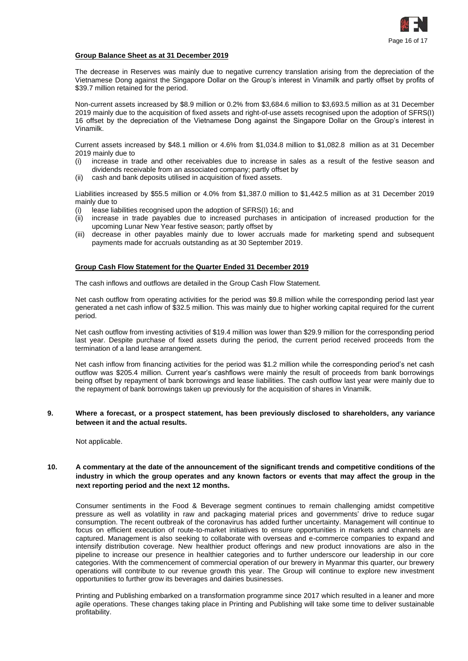

# **Group Balance Sheet as at 31 December 2019**

The decrease in Reserves was mainly due to negative currency translation arising from the depreciation of the Vietnamese Dong against the Singapore Dollar on the Group's interest in Vinamilk and partly offset by profits of \$39.7 million retained for the period.

Non-current assets increased by \$8.9 million or 0.2% from \$3,684.6 million to \$3,693.5 million as at 31 December 2019 mainly due to the acquisition of fixed assets and right-of-use assets recognised upon the adoption of SFRS(I) 16 offset by the depreciation of the Vietnamese Dong against the Singapore Dollar on the Group's interest in Vinamilk.

Current assets increased by \$48.1 million or 4.6% from \$1,034.8 million to \$1,082.8 million as at 31 December 2019 mainly due to

- (i) increase in trade and other receivables due to increase in sales as a result of the festive season and dividends receivable from an associated company; partly offset by
- (ii) cash and bank deposits utilised in acquisition of fixed assets.

Liabilities increased by \$55.5 million or 4.0% from \$1,387.0 million to \$1,442.5 million as at 31 December 2019 mainly due to

- (i) lease liabilities recognised upon the adoption of SFRS(I) 16; and
- (ii) increase in trade payables due to increased purchases in anticipation of increased production for the upcoming Lunar New Year festive season; partly offset by
- (iii) decrease in other payables mainly due to lower accruals made for marketing spend and subsequent payments made for accruals outstanding as at 30 September 2019.

### **Group Cash Flow Statement for the Quarter Ended 31 December 2019**

The cash inflows and outflows are detailed in the Group Cash Flow Statement.

Net cash outflow from operating activities for the period was \$9.8 million while the corresponding period last year generated a net cash inflow of \$32.5 million. This was mainly due to higher working capital required for the current period.

Net cash outflow from investing activities of \$19.4 million was lower than \$29.9 million for the corresponding period last year. Despite purchase of fixed assets during the period, the current period received proceeds from the termination of a land lease arrangement.

Net cash inflow from financing activities for the period was \$1.2 million while the corresponding period's net cash outflow was \$205.4 million. Current year's cashflows were mainly the result of proceeds from bank borrowings being offset by repayment of bank borrowings and lease liabilities. The cash outflow last year were mainly due to the repayment of bank borrowings taken up previously for the acquisition of shares in Vinamilk.

## **9. Where a forecast, or a prospect statement, has been previously disclosed to shareholders, any variance between it and the actual results.**

Not applicable.

# **10. A commentary at the date of the announcement of the significant trends and competitive conditions of the industry in which the group operates and any known factors or events that may affect the group in the next reporting period and the next 12 months.**

Consumer sentiments in the Food & Beverage segment continues to remain challenging amidst competitive pressure as well as volatility in raw and packaging material prices and governments' drive to reduce sugar consumption. The recent outbreak of the coronavirus has added further uncertainty. Management will continue to focus on efficient execution of route-to-market initiatives to ensure opportunities in markets and channels are captured. Management is also seeking to collaborate with overseas and e-commerce companies to expand and intensify distribution coverage. New healthier product offerings and new product innovations are also in the pipeline to increase our presence in healthier categories and to further underscore our leadership in our core categories. With the commencement of commercial operation of our brewery in Myanmar this quarter, our brewery operations will contribute to our revenue growth this year. The Group will continue to explore new investment opportunities to further grow its beverages and dairies businesses.

Printing and Publishing embarked on a transformation programme since 2017 which resulted in a leaner and more agile operations. These changes taking place in Printing and Publishing will take some time to deliver sustainable profitability.